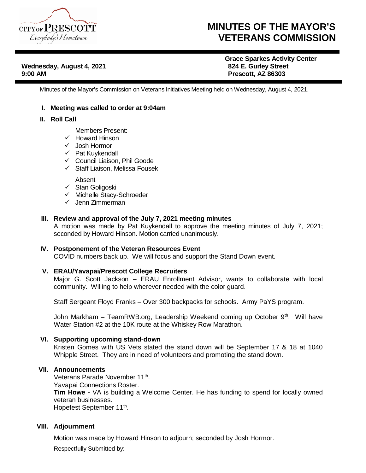

## **MINUTES OF THE MAYOR'S VETERANS COMMISSION**

**Wednesday, August 4, 2021 9:00 AM Prescott, AZ 86303**

# **Grace Sparkes Activity Center**

Minutes of the Mayor's Commission on Veterans Initiatives Meeting held on Wednesday, August 4, 2021.

#### **I. Meeting was called to order at 9:04am**

#### **II. Roll Call**

Members Present:

- $\sqrt{\phantom{a}}$  Howard Hinson
- Josh Hormor
- $\checkmark$  Pat Kuykendall
- $\checkmark$  Council Liaison, Phil Goode
- $\checkmark$  Staff Liaison, Melissa Fousek

**Absent** 

- $\checkmark$  Stan Goligoski
- $\checkmark$  Michelle Stacy-Schroeder
- $\checkmark$  Jenn Zimmerman

### **III. Review and approval of the July 7, 2021 meeting minutes**

A motion was made by Pat Kuykendall to approve the meeting minutes of July 7, 2021; seconded by Howard Hinson. Motion carried unanimously.

#### **IV. Postponement of the Veteran Resources Event**

COVID numbers back up. We will focus and support the Stand Down event.

#### **V. ERAU/Yavapai/Prescott College Recruiters**

Major G. Scott Jackson – ERAU Enrollment Advisor, wants to collaborate with local community. Willing to help wherever needed with the color guard.

Staff Sergeant Floyd Franks – Over 300 backpacks for schools. Army PaYS program.

John Markham - TeamRWB.org, Leadership Weekend coming up October 9<sup>th</sup>. Will have Water Station #2 at the 10K route at the Whiskey Row Marathon.

#### **VI. Supporting upcoming stand-down**

Kristen Gomes with US Vets stated the stand down will be September 17 & 18 at 1040 Whipple Street. They are in need of volunteers and promoting the stand down.

#### **VII. Announcements**

Veterans Parade November 11<sup>th</sup>. Yavapai Connections Roster. **Tim Howe -** VA is building a Welcome Center. He has funding to spend for locally owned veteran businesses.

Hopefest September 11<sup>th</sup>.

#### **VIII. Adjournment**

Motion was made by Howard Hinson to adjourn; seconded by Josh Hormor.

Respectfully Submitted by: